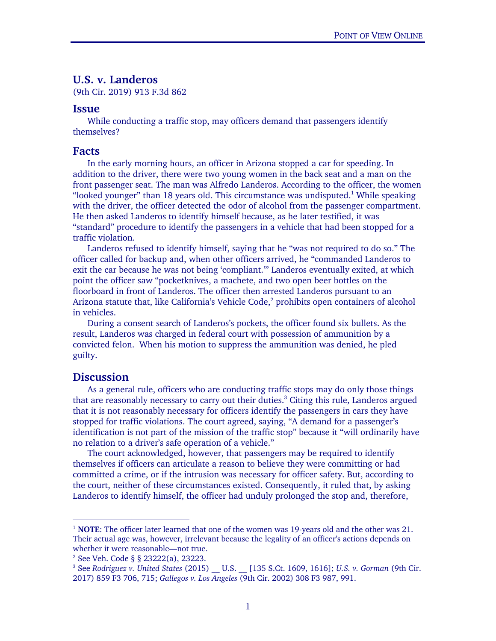# U.S. v. Landeros

(9th Cir. 2019) 913 F.3d 862

#### Issue

While conducting a traffic stop, may officers demand that passengers identify themselves?

### Facts

 In the early morning hours, an officer in Arizona stopped a car for speeding. In addition to the driver, there were two young women in the back seat and a man on the front passenger seat. The man was Alfredo Landeros. According to the officer, the women "looked younger" than 18 years old. This circumstance was undisputed.<sup>1</sup> While speaking with the driver, the officer detected the odor of alcohol from the passenger compartment. He then asked Landeros to identify himself because, as he later testified, it was "standard" procedure to identify the passengers in a vehicle that had been stopped for a traffic violation.

Landeros refused to identify himself, saying that he "was not required to do so." The officer called for backup and, when other officers arrived, he "commanded Landeros to exit the car because he was not being 'compliant.'" Landeros eventually exited, at which point the officer saw "pocketknives, a machete, and two open beer bottles on the floorboard in front of Landeros. The officer then arrested Landeros pursuant to an Arizona statute that, like California's Vehicle Code,<sup>2</sup> prohibits open containers of alcohol in vehicles.

 During a consent search of Landeros's pockets, the officer found six bullets. As the result, Landeros was charged in federal court with possession of ammunition by a convicted felon. When his motion to suppress the ammunition was denied, he pled guilty.

## **Discussion**

-

As a general rule, officers who are conducting traffic stops may do only those things that are reasonably necessary to carry out their duties.<sup>3</sup> Citing this rule, Landeros argued that it is not reasonably necessary for officers identify the passengers in cars they have stopped for traffic violations. The court agreed, saying, "A demand for a passenger's identification is not part of the mission of the traffic stop" because it "will ordinarily have no relation to a driver's safe operation of a vehicle."

The court acknowledged, however, that passengers may be required to identify themselves if officers can articulate a reason to believe they were committing or had committed a crime, or if the intrusion was necessary for officer safety. But, according to the court, neither of these circumstances existed. Consequently, it ruled that, by asking Landeros to identify himself, the officer had unduly prolonged the stop and, therefore,

<sup>&</sup>lt;sup>1</sup> NOTE: The officer later learned that one of the women was 19-years old and the other was 21. Their actual age was, however, irrelevant because the legality of an officer's actions depends on whether it were reasonable—not true.

<sup>2</sup> See Veh. Code § § 23222(a), 23223.

<sup>3</sup> See *Rodriguez v. United States* (2015) \_\_ U.S. \_\_ [135 S.Ct. 1609, 1616]; *U.S. v. Gorman* (9th Cir. 2017) 859 F3 706, 715; *Gallegos v. Los Angeles* (9th Cir. 2002) 308 F3 987, 991.